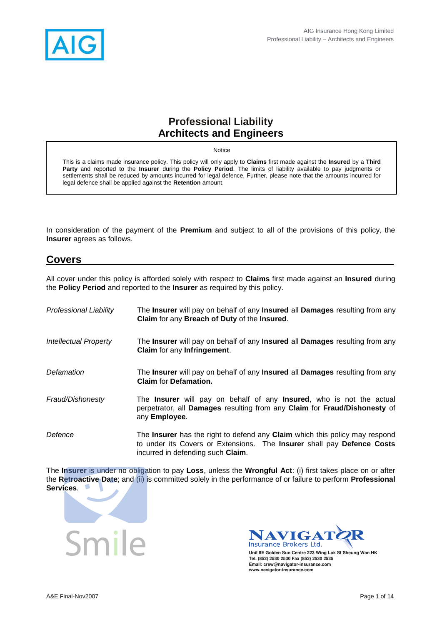

### **Professional Liability Architects and Engineers**

Notice

This is a claims made insurance policy. This policy will only apply to **Claims** first made against the **Insured** by a **Third Party** and reported to the **Insurer** during the **Policy Period**. The limits of liability available to pay judgments or settlements shall be reduced by amounts incurred for legal defence. Further, please note that the amounts incurred for legal defence shall be applied against the **Retention** amount.

In consideration of the payment of the **Premium** and subject to all of the provisions of this policy, the **Insurer** agrees as follows.

#### **Covers**

All cover under this policy is afforded solely with respect to **Claims** first made against an **Insured** during the **Policy Period** and reported to the **Insurer** as required by this policy.

| <b>Professional Liability</b> | The <b>Insurer</b> will pay on behalf of any <b>Insured</b> all <b>Damages</b> resulting from any<br>Claim for any Breach of Duty of the Insured.                                                                              |
|-------------------------------|--------------------------------------------------------------------------------------------------------------------------------------------------------------------------------------------------------------------------------|
| <b>Intellectual Property</b>  | The Insurer will pay on behalf of any Insured all Damages resulting from any<br><b>Claim</b> for any Infringement.                                                                                                             |
| Defamation                    | The Insurer will pay on behalf of any Insured all Damages resulting from any<br><b>Claim for Defamation.</b>                                                                                                                   |
| Fraud/Dishonesty              | The <b>Insurer</b> will pay on behalf of any <b>Insured</b> , who is not the actual<br>perpetrator, all Damages resulting from any Claim for Fraud/Dishonesty of<br>any Employee.                                              |
| Defence                       | The <b>Insurer</b> has the right to defend any <b>Claim</b> which this policy may respond<br>to under its Covers or Extensions. The <b>Insurer</b> shall pay <b>Defence Costs</b><br>incurred in defending such <b>Claim</b> . |

The **Insurer** is under no obligation to pay **Loss**, unless the **Wrongful Act**: (i) first takes place on or after the **Retroactive Date**; and (ii) is committed solely in the performance of or failure to perform **Professional Services**.





**Unit 8E Golden Sun Centre 223 Wing Lok St Sheung Wan HK Tel. (852) 2530 2530 Fax (852) 2530 2535 Email: crew@navigator-insurance.com www.navigator-insurance.com**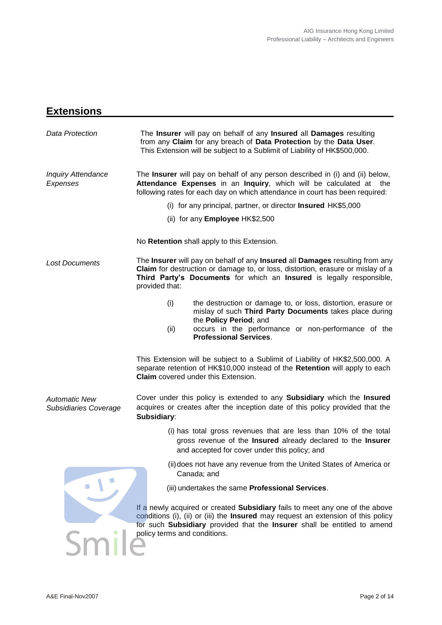## **Extensions**

| Data Protection                               | The Insurer will pay on behalf of any Insured all Damages resulting<br>from any Claim for any breach of Data Protection by the Data User.<br>This Extension will be subject to a Sublimit of Liability of HK\$500,000.                                                               |  |  |
|-----------------------------------------------|--------------------------------------------------------------------------------------------------------------------------------------------------------------------------------------------------------------------------------------------------------------------------------------|--|--|
| <b>Inquiry Attendance</b><br>Expenses         | The <b>Insurer</b> will pay on behalf of any person described in (i) and (ii) below,<br>Attendance Expenses in an Inquiry, which will be calculated at the<br>following rates for each day on which attendance in court has been required:                                           |  |  |
|                                               | (i) for any principal, partner, or director Insured HK\$5,000                                                                                                                                                                                                                        |  |  |
|                                               | (ii) for any <b>Employee</b> HK\$2,500                                                                                                                                                                                                                                               |  |  |
|                                               | No Retention shall apply to this Extension.                                                                                                                                                                                                                                          |  |  |
| <b>Lost Documents</b>                         | The Insurer will pay on behalf of any Insured all Damages resulting from any<br>Claim for destruction or damage to, or loss, distortion, erasure or mislay of a<br>Third Party's Documents for which an Insured is legally responsible,<br>provided that:                            |  |  |
|                                               | (i)<br>the destruction or damage to, or loss, distortion, erasure or<br>mislay of such Third Party Documents takes place during<br>the Policy Period; and<br>occurs in the performance or non-performance of the<br>(ii)<br><b>Professional Services.</b>                            |  |  |
|                                               | This Extension will be subject to a Sublimit of Liability of HK\$2,500,000. A<br>separate retention of HK\$10,000 instead of the Retention will apply to each<br><b>Claim</b> covered under this Extension.                                                                          |  |  |
| <b>Automatic New</b><br>Subsidiaries Coverage | Cover under this policy is extended to any Subsidiary which the Insured<br>acquires or creates after the inception date of this policy provided that the<br>Subsidiary:                                                                                                              |  |  |
|                                               | (i) has total gross revenues that are less than 10% of the total<br>gross revenue of the Insured already declared to the Insurer<br>and accepted for cover under this policy; and                                                                                                    |  |  |
|                                               | (ii) does not have any revenue from the United States of America or<br>Canada; and                                                                                                                                                                                                   |  |  |
|                                               | (iii) undertakes the same Professional Services.                                                                                                                                                                                                                                     |  |  |
|                                               | If a newly acquired or created Subsidiary fails to meet any one of the above<br>conditions (i), (ii) or (iii) the <b>Insured</b> may request an extension of this policy<br>for such Subsidiary provided that the Insurer shall be entitled to amend<br>policy terms and conditions. |  |  |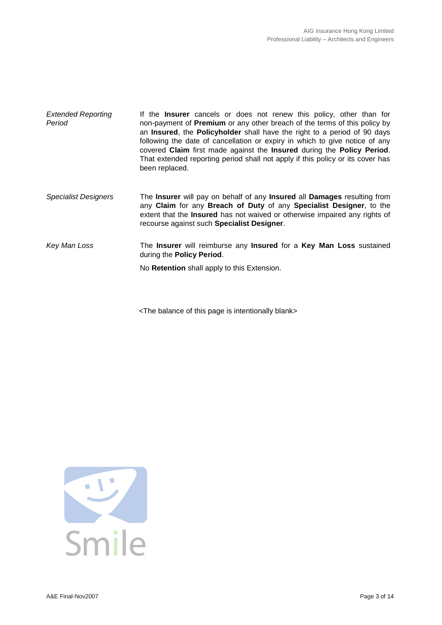| <b>Extended Reporting</b><br>Period | If the <b>Insurer</b> cancels or does not renew this policy, other than for<br>non-payment of <b>Premium</b> or any other breach of the terms of this policy by<br>an Insured, the Policyholder shall have the right to a period of 90 days<br>following the date of cancellation or expiry in which to give notice of any<br>covered Claim first made against the Insured during the Policy Period.<br>That extended reporting period shall not apply if this policy or its cover has<br>been replaced. |
|-------------------------------------|----------------------------------------------------------------------------------------------------------------------------------------------------------------------------------------------------------------------------------------------------------------------------------------------------------------------------------------------------------------------------------------------------------------------------------------------------------------------------------------------------------|
| <b>Specialist Designers</b>         | The Insurer will pay on behalf of any Insured all Damages resulting from<br>any Claim for any Breach of Duty of any Specialist Designer, to the<br>extent that the Insured has not waived or otherwise impaired any rights of<br>recourse against such Specialist Designer.                                                                                                                                                                                                                              |
| Key Man Loss                        | The Insurer will reimburse any Insured for a Key Man Loss sustained<br>during the Policy Period.                                                                                                                                                                                                                                                                                                                                                                                                         |
|                                     | No Retention shall apply to this Extension.                                                                                                                                                                                                                                                                                                                                                                                                                                                              |

<The balance of this page is intentionally blank>

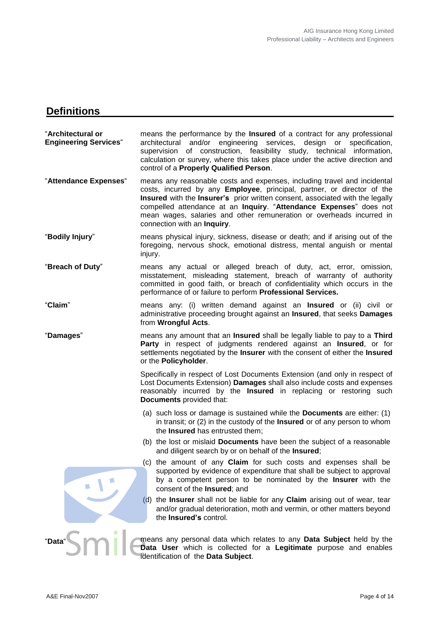## **Definitions**

| "Architectural or<br><b>Engineering Services</b> " | means the performance by the <b>Insured</b> of a contract for any professional<br>architectural and/or engineering services, design or<br>specification,<br>supervision of construction, feasibility study, technical information,<br>calculation or survey, where this takes place under the active direction and<br>control of a Properly Qualified Person.                                                     |
|----------------------------------------------------|-------------------------------------------------------------------------------------------------------------------------------------------------------------------------------------------------------------------------------------------------------------------------------------------------------------------------------------------------------------------------------------------------------------------|
| "Attendance Expenses"                              | means any reasonable costs and expenses, including travel and incidental<br>costs, incurred by any Employee, principal, partner, or director of the<br>Insured with the Insurer's prior written consent, associated with the legally<br>compelled attendance at an Inquiry. "Attendance Expenses" does not<br>mean wages, salaries and other remuneration or overheads incurred in<br>connection with an Inquiry. |
| "Bodily Injury"                                    | means physical injury, sickness, disease or death; and if arising out of the<br>foregoing, nervous shock, emotional distress, mental anguish or mental<br>injury.                                                                                                                                                                                                                                                 |
| "Breach of Duty"                                   | means any actual or alleged breach of duty, act, error, omission,<br>misstatement, misleading statement, breach of warranty of authority<br>committed in good faith, or breach of confidentiality which occurs in the<br>performance of or failure to perform Professional Services.                                                                                                                              |
| "Claim"                                            | means any: (i) written demand against an <b>Insured</b> or (ii) civil or<br>administrative proceeding brought against an <b>Insured</b> , that seeks <b>Damages</b><br>from Wrongful Acts.                                                                                                                                                                                                                        |
| "Damages"                                          | means any amount that an Insured shall be legally liable to pay to a Third<br>Party in respect of judgments rendered against an Insured, or for<br>settlements negotiated by the Insurer with the consent of either the Insured<br>or the Policyholder.                                                                                                                                                           |
|                                                    | Specifically in respect of Lost Documents Extension (and only in respect of<br>Lost Documents Extension) Damages shall also include costs and expenses<br>reasonably incurred by the Insured in replacing or restoring such<br>Documents provided that:                                                                                                                                                           |
|                                                    | (a) such loss or damage is sustained while the <b>Documents</b> are either: $(1)$<br>in transit; or (2) in the custody of the Insured or of any person to whom<br>the Insured has entrusted them;                                                                                                                                                                                                                 |
|                                                    | (b) the lost or mislaid <b>Documents</b> have been the subject of a reasonable<br>and diligent search by or on behalf of the Insured;                                                                                                                                                                                                                                                                             |
|                                                    | (c) the amount of any Claim for such costs and expenses shall be<br>supported by evidence of expenditure that shall be subject to approval<br>by a competent person to be nominated by the Insurer with the<br>consent of the Insured; and                                                                                                                                                                        |
|                                                    | (d) the Insurer shall not be liable for any Claim arising out of wear, tear<br>and/or gradual deterioration, moth and vermin, or other matters beyond<br>the Insured's control.                                                                                                                                                                                                                                   |
| "Data"                                             | means any personal data which relates to any Data Subject held by the<br>Data User which is collected for a Legitimate purpose and enables                                                                                                                                                                                                                                                                        |

identification of the **Data Subject**.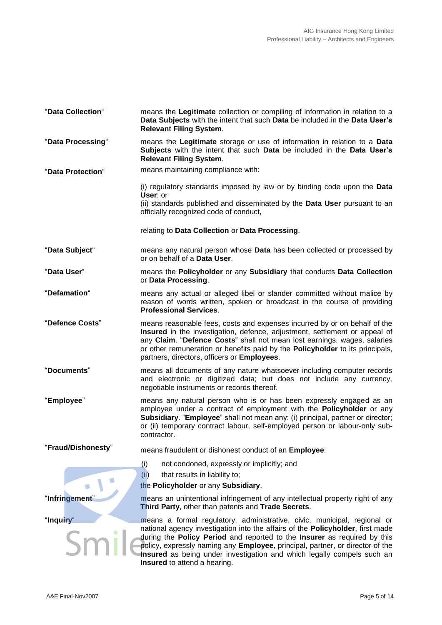| "Data Collection"  | means the Legitimate collection or compiling of information in relation to a<br>Data Subjects with the intent that such Data be included in the Data User's<br><b>Relevant Filing System.</b>                                                                                                                                                                                                                                     |
|--------------------|-----------------------------------------------------------------------------------------------------------------------------------------------------------------------------------------------------------------------------------------------------------------------------------------------------------------------------------------------------------------------------------------------------------------------------------|
| "Data Processing"  | means the Legitimate storage or use of information in relation to a Data<br>Subjects with the intent that such Data be included in the Data User's<br><b>Relevant Filing System.</b>                                                                                                                                                                                                                                              |
| "Data Protection"  | means maintaining compliance with:                                                                                                                                                                                                                                                                                                                                                                                                |
|                    | (i) regulatory standards imposed by law or by binding code upon the Data<br>User; or<br>(ii) standards published and disseminated by the Data User pursuant to an<br>officially recognized code of conduct,                                                                                                                                                                                                                       |
|                    | relating to Data Collection or Data Processing.                                                                                                                                                                                                                                                                                                                                                                                   |
| "Data Subject"     | means any natural person whose Data has been collected or processed by<br>or on behalf of a Data User.                                                                                                                                                                                                                                                                                                                            |
| "Data User"        | means the Policyholder or any Subsidiary that conducts Data Collection<br>or Data Processing.                                                                                                                                                                                                                                                                                                                                     |
| "Defamation"       | means any actual or alleged libel or slander committed without malice by<br>reason of words written, spoken or broadcast in the course of providing<br><b>Professional Services.</b>                                                                                                                                                                                                                                              |
| "Defence Costs"    | means reasonable fees, costs and expenses incurred by or on behalf of the<br>Insured in the investigation, defence, adjustment, settlement or appeal of<br>any Claim. "Defence Costs" shall not mean lost earnings, wages, salaries<br>or other remuneration or benefits paid by the Policyholder to its principals,<br>partners, directors, officers or Employees.                                                               |
| "Documents"        | means all documents of any nature whatsoever including computer records<br>and electronic or digitized data; but does not include any currency,<br>negotiable instruments or records thereof.                                                                                                                                                                                                                                     |
| "Employee"         | means any natural person who is or has been expressly engaged as an<br>employee under a contract of employment with the Policyholder or any<br>Subsidiary. "Employee" shall not mean any: (i) principal, partner or director;<br>or (ii) temporary contract labour, self-employed person or labour-only sub-<br>contractor.                                                                                                       |
| "Fraud/Dishonesty" | means fraudulent or dishonest conduct of an Employee:                                                                                                                                                                                                                                                                                                                                                                             |
|                    | not condoned, expressly or implicitly; and<br>(i)                                                                                                                                                                                                                                                                                                                                                                                 |
|                    | (ii)<br>that results in liability to;<br>the Policyholder or any Subsidiary.                                                                                                                                                                                                                                                                                                                                                      |
| "Infringement"     | means an unintentional infringement of any intellectual property right of any<br>Third Party, other than patents and Trade Secrets.                                                                                                                                                                                                                                                                                               |
| "Inquiry"          | means a formal regulatory, administrative, civic, municipal, regional or<br>national agency investigation into the affairs of the Policyholder, first made<br>during the Policy Period and reported to the Insurer as required by this<br>policy, expressly naming any Employee, principal, partner, or director of the<br>Insured as being under investigation and which legally compels such an<br>Insured to attend a hearing. |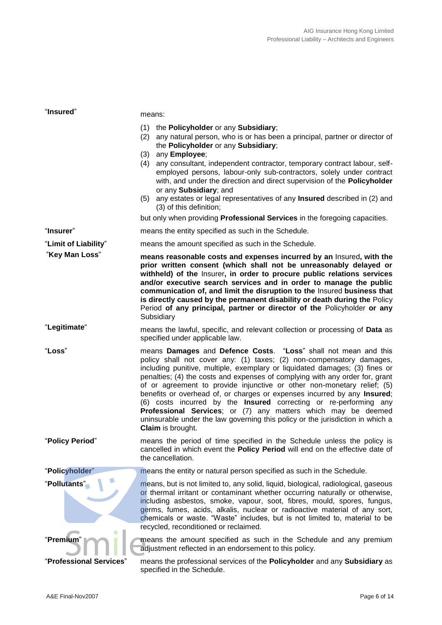| "Insured"               | means:                                                                                                                                                                                                                                                                                                                                                                                                                                                                                                                                                                                                                                                                                                                   |  |  |
|-------------------------|--------------------------------------------------------------------------------------------------------------------------------------------------------------------------------------------------------------------------------------------------------------------------------------------------------------------------------------------------------------------------------------------------------------------------------------------------------------------------------------------------------------------------------------------------------------------------------------------------------------------------------------------------------------------------------------------------------------------------|--|--|
|                         | (1) the Policyholder or any Subsidiary;<br>any natural person, who is or has been a principal, partner or director of<br>(2)<br>the Policyholder or any Subsidiary;<br>any Employee;<br>(3)<br>any consultant, independent contractor, temporary contract labour, self-<br>(4)<br>employed persons, labour-only sub-contractors, solely under contract<br>with, and under the direction and direct supervision of the Policyholder                                                                                                                                                                                                                                                                                       |  |  |
|                         | or any Subsidiary; and<br>any estates or legal representatives of any Insured described in (2) and<br>(5)<br>(3) of this definition;                                                                                                                                                                                                                                                                                                                                                                                                                                                                                                                                                                                     |  |  |
|                         | but only when providing Professional Services in the foregoing capacities.                                                                                                                                                                                                                                                                                                                                                                                                                                                                                                                                                                                                                                               |  |  |
| "Insurer"               | means the entity specified as such in the Schedule.                                                                                                                                                                                                                                                                                                                                                                                                                                                                                                                                                                                                                                                                      |  |  |
| "Limit of Liability"    | means the amount specified as such in the Schedule.                                                                                                                                                                                                                                                                                                                                                                                                                                                                                                                                                                                                                                                                      |  |  |
| "Key Man Loss"          | means reasonable costs and expenses incurred by an Insured, with the<br>prior written consent (which shall not be unreasonably delayed or<br>withheld) of the Insurer, in order to procure public relations services<br>and/or executive search services and in order to manage the public<br>communication of, and limit the disruption to the Insured business that<br>is directly caused by the permanent disability or death during the Policy<br>Period of any principal, partner or director of the Policyholder or any<br>Subsidiary                                                                                                                                                                              |  |  |
| "Legitimate"            | means the lawful, specific, and relevant collection or processing of Data as<br>specified under applicable law.                                                                                                                                                                                                                                                                                                                                                                                                                                                                                                                                                                                                          |  |  |
| "Loss"                  | means Damages and Defence Costs. "Loss" shall not mean and this<br>policy shall not cover any: (1) taxes; (2) non-compensatory damages,<br>including punitive, multiple, exemplary or liquidated damages; (3) fines or<br>penalties; (4) the costs and expenses of complying with any order for, grant<br>of or agreement to provide injunctive or other non-monetary relief; (5)<br>benefits or overhead of, or charges or expenses incurred by any Insured;<br>(6) costs incurred by the <b>Insured</b> correcting or re-performing any<br>Professional Services; or (7) any matters which may be deemed<br>uninsurable under the law governing this policy or the jurisdiction in which a<br><b>Claim</b> is brought. |  |  |
| "Policy Period"         | means the period of time specified in the Schedule unless the policy is<br>cancelled in which event the Policy Period will end on the effective date of<br>the cancellation.                                                                                                                                                                                                                                                                                                                                                                                                                                                                                                                                             |  |  |
| "Policyholder"          | means the entity or natural person specified as such in the Schedule.                                                                                                                                                                                                                                                                                                                                                                                                                                                                                                                                                                                                                                                    |  |  |
| "Pollutants"            | means, but is not limited to, any solid, liquid, biological, radiological, gaseous<br>or thermal irritant or contaminant whether occurring naturally or otherwise,<br>including asbestos, smoke, vapour, soot, fibres, mould, spores, fungus,<br>germs, fumes, acids, alkalis, nuclear or radioactive material of any sort,<br>chemicals or waste. "Waste" includes, but is not limited to, material to be<br>recycled, reconditioned or reclaimed.                                                                                                                                                                                                                                                                      |  |  |
| "Premium                | means the amount specified as such in the Schedule and any premium<br>adjustment reflected in an endorsement to this policy.                                                                                                                                                                                                                                                                                                                                                                                                                                                                                                                                                                                             |  |  |
| "Professional Services" | means the professional services of the Policyholder and any Subsidiary as<br>specified in the Schedule.                                                                                                                                                                                                                                                                                                                                                                                                                                                                                                                                                                                                                  |  |  |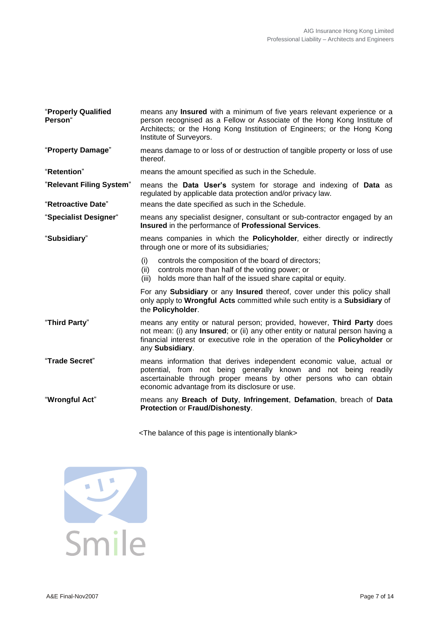| "Properly Qualified<br>Person" | means any <b>Insured</b> with a minimum of five years relevant experience or a<br>person recognised as a Fellow or Associate of the Hong Kong Institute of<br>Architects; or the Hong Kong Institution of Engineers; or the Hong Kong<br>Institute of Surveyors.     |  |
|--------------------------------|----------------------------------------------------------------------------------------------------------------------------------------------------------------------------------------------------------------------------------------------------------------------|--|
| "Property Damage"              | means damage to or loss of or destruction of tangible property or loss of use<br>thereof.                                                                                                                                                                            |  |
| "Retention"                    | means the amount specified as such in the Schedule.                                                                                                                                                                                                                  |  |
| "Relevant Filing System"       | means the Data User's system for storage and indexing of Data as<br>regulated by applicable data protection and/or privacy law.                                                                                                                                      |  |
| "Retroactive Date"             | means the date specified as such in the Schedule.                                                                                                                                                                                                                    |  |
| "Specialist Designer"          | means any specialist designer, consultant or sub-contractor engaged by an<br>Insured in the performance of Professional Services.                                                                                                                                    |  |
| "Subsidiary"                   | means companies in which the Policyholder, either directly or indirectly<br>through one or more of its subsidiaries;                                                                                                                                                 |  |
|                                | controls the composition of the board of directors;<br>(i)<br>controls more than half of the voting power; or<br>(ii)<br>holds more than half of the issued share capital or equity.<br>(iii)                                                                        |  |
|                                | For any Subsidiary or any Insured thereof, cover under this policy shall<br>only apply to Wrongful Acts committed while such entity is a Subsidiary of<br>the Policyholder.                                                                                          |  |
| "Third Party"                  | means any entity or natural person; provided, however, Third Party does<br>not mean: (i) any <b>Insured</b> ; or (ii) any other entity or natural person having a<br>financial interest or executive role in the operation of the Policyholder or<br>any Subsidiary. |  |
| "Trade Secret"                 | means information that derives independent economic value, actual or<br>potential, from not being generally known and not being readily<br>ascertainable through proper means by other persons who can obtain<br>economic advantage from its disclosure or use.      |  |
| "Wrongful Act"                 | means any Breach of Duty, Infringement, Defamation, breach of Data<br>Protection or Fraud/Dishonesty.                                                                                                                                                                |  |

<The balance of this page is intentionally blank>

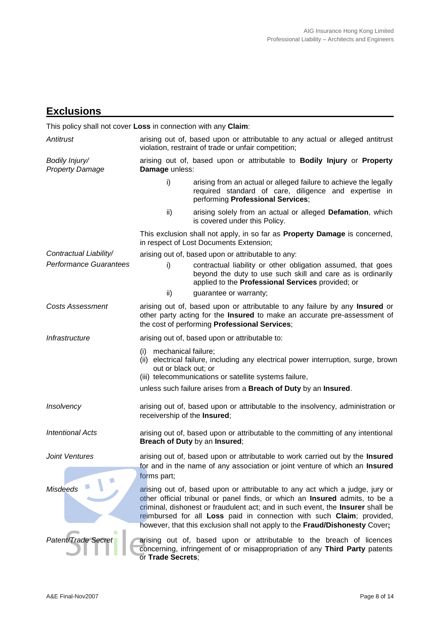# **Exclusions**

This policy shall not cover **Loss** in connection with any **Claim**:

| Antitrust                                |                                                 | arising out of, based upon or attributable to any actual or alleged antitrust<br>violation, restraint of trade or unfair competition;                                                                                                                                                                                                                                                                 |
|------------------------------------------|-------------------------------------------------|-------------------------------------------------------------------------------------------------------------------------------------------------------------------------------------------------------------------------------------------------------------------------------------------------------------------------------------------------------------------------------------------------------|
| Bodily Injury/<br><b>Property Damage</b> | Damage unless:                                  | arising out of, based upon or attributable to Bodily Injury or Property                                                                                                                                                                                                                                                                                                                               |
|                                          | i)                                              | arising from an actual or alleged failure to achieve the legally<br>required standard of care, diligence and expertise in<br>performing Professional Services;                                                                                                                                                                                                                                        |
|                                          | ii)                                             | arising solely from an actual or alleged Defamation, which<br>is covered under this Policy.                                                                                                                                                                                                                                                                                                           |
|                                          |                                                 | This exclusion shall not apply, in so far as Property Damage is concerned,<br>in respect of Lost Documents Extension;                                                                                                                                                                                                                                                                                 |
| Contractual Liability/                   |                                                 | arising out of, based upon or attributable to any:                                                                                                                                                                                                                                                                                                                                                    |
| <b>Performance Guarantees</b>            | i)                                              | contractual liability or other obligation assumed, that goes<br>beyond the duty to use such skill and care as is ordinarily<br>applied to the Professional Services provided; or                                                                                                                                                                                                                      |
|                                          | ii)                                             | guarantee or warranty;                                                                                                                                                                                                                                                                                                                                                                                |
| <b>Costs Assessment</b>                  |                                                 | arising out of, based upon or attributable to any failure by any Insured or<br>other party acting for the Insured to make an accurate pre-assessment of<br>the cost of performing Professional Services;                                                                                                                                                                                              |
| Infrastructure                           |                                                 | arising out of, based upon or attributable to:                                                                                                                                                                                                                                                                                                                                                        |
|                                          | (i) mechanical failure;<br>out or black out; or | (ii) electrical failure, including any electrical power interruption, surge, brown<br>(iii) telecommunications or satellite systems failure,                                                                                                                                                                                                                                                          |
|                                          |                                                 | unless such failure arises from a Breach of Duty by an Insured.                                                                                                                                                                                                                                                                                                                                       |
| Insolvency                               | receivership of the Insured;                    | arising out of, based upon or attributable to the insolvency, administration or                                                                                                                                                                                                                                                                                                                       |
| <b>Intentional Acts</b>                  |                                                 | arising out of, based upon or attributable to the committing of any intentional<br>Breach of Duty by an Insured;                                                                                                                                                                                                                                                                                      |
| <b>Joint Ventures</b>                    | forms part;                                     | arising out of, based upon or attributable to work carried out by the Insured<br>for and in the name of any association or joint venture of which an Insured                                                                                                                                                                                                                                          |
| <b>Misdeeds</b>                          |                                                 | arising out of, based upon or attributable to any act which a judge, jury or<br>other official tribunal or panel finds, or which an Insured admits, to be a<br>criminal, dishonest or fraudulent act; and in such event, the Insurer shall be<br>reimbursed for all Loss paid in connection with such Claim; provided,<br>however, that this exclusion shall not apply to the Fraud/Dishonesty Cover; |
| Patent/Trade Secret                      | or Trade Secrets;                               | arising out of, based upon or attributable to the breach of licences<br>concerning, infringement of or misappropriation of any Third Party patents                                                                                                                                                                                                                                                    |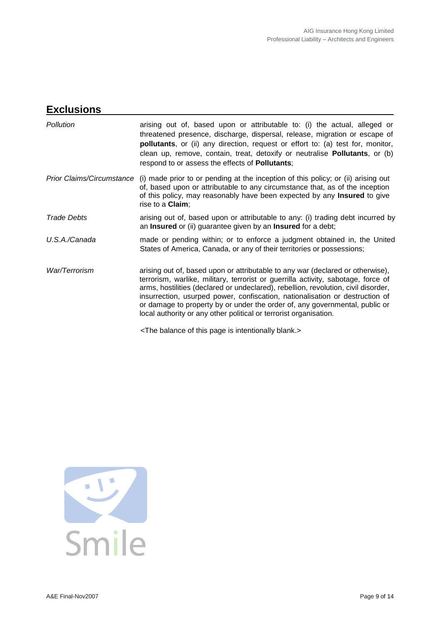## **Exclusions**

| <b>Pollution</b>                 | arising out of, based upon or attributable to: (i) the actual, alleged or<br>threatened presence, discharge, dispersal, release, migration or escape of<br>pollutants, or (ii) any direction, request or effort to: (a) test for, monitor,<br>clean up, remove, contain, treat, detoxify or neutralise Pollutants, or (b)<br>respond to or assess the effects of Pollutants;                                                                                                                  |
|----------------------------------|-----------------------------------------------------------------------------------------------------------------------------------------------------------------------------------------------------------------------------------------------------------------------------------------------------------------------------------------------------------------------------------------------------------------------------------------------------------------------------------------------|
| <b>Prior Claims/Circumstance</b> | (i) made prior to or pending at the inception of this policy; or (ii) arising out<br>of, based upon or attributable to any circumstance that, as of the inception<br>of this policy, may reasonably have been expected by any <b>Insured</b> to give<br>rise to a <b>Claim</b> ;                                                                                                                                                                                                              |
| <b>Trade Debts</b>               | arising out of, based upon or attributable to any: (i) trading debt incurred by<br>an Insured or (ii) guarantee given by an Insured for a debt;                                                                                                                                                                                                                                                                                                                                               |
| U.S.A./Canada                    | made or pending within; or to enforce a judgment obtained in, the United<br>States of America, Canada, or any of their territories or possessions;                                                                                                                                                                                                                                                                                                                                            |
| War/Terrorism                    | arising out of, based upon or attributable to any war (declared or otherwise),<br>terrorism, warlike, military, terrorist or guerrilla activity, sabotage, force of<br>arms, hostilities (declared or undeclared), rebellion, revolution, civil disorder,<br>insurrection, usurped power, confiscation, nationalisation or destruction of<br>or damage to property by or under the order of, any governmental, public or<br>local authority or any other political or terrorist organisation. |
|                                  | <the balance="" blank.="" intentionally="" is="" of="" page="" this=""></the>                                                                                                                                                                                                                                                                                                                                                                                                                 |

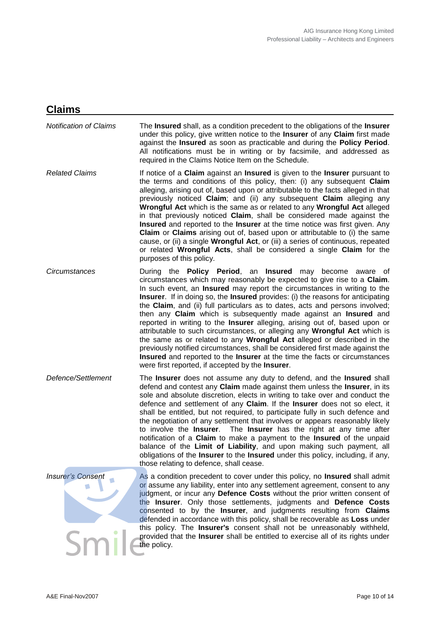## **Claims**

| <b>Notification of Claims</b> | The <b>Insured</b> shall, as a condition precedent to the obligations of the <b>Insurer</b><br>under this policy, give written notice to the Insurer of any Claim first made<br>against the Insured as soon as practicable and during the Policy Period.<br>All notifications must be in writing or by facsimile, and addressed as<br>required in the Claims Notice Item on the Schedule.                                                                                                                                                                                                                                                                                                                                                                                                                                                                                                                                                             |
|-------------------------------|-------------------------------------------------------------------------------------------------------------------------------------------------------------------------------------------------------------------------------------------------------------------------------------------------------------------------------------------------------------------------------------------------------------------------------------------------------------------------------------------------------------------------------------------------------------------------------------------------------------------------------------------------------------------------------------------------------------------------------------------------------------------------------------------------------------------------------------------------------------------------------------------------------------------------------------------------------|
| <b>Related Claims</b>         | If notice of a Claim against an Insured is given to the Insurer pursuant to<br>the terms and conditions of this policy, then: (i) any subsequent Claim<br>alleging, arising out of, based upon or attributable to the facts alleged in that<br>previously noticed Claim; and (ii) any subsequent Claim alleging any<br>Wrongful Act which is the same as or related to any Wrongful Act alleged<br>in that previously noticed Claim, shall be considered made against the<br>Insured and reported to the Insurer at the time notice was first given. Any<br><b>Claim</b> or <b>Claims</b> arising out of, based upon or attributable to (i) the same<br>cause, or (ii) a single <b>Wrongful Act</b> , or (iii) a series of continuous, repeated<br>or related Wrongful Acts, shall be considered a single Claim for the<br>purposes of this policy.                                                                                                   |
| Circumstances                 | During the <b>Policy Period</b> , an <b>Insured</b> may become<br>aware of<br>circumstances which may reasonably be expected to give rise to a Claim.<br>In such event, an <b>Insured</b> may report the circumstances in writing to the<br><b>Insurer.</b> If in doing so, the <b>Insured</b> provides: (i) the reasons for anticipating<br>the Claim, and (ii) full particulars as to dates, acts and persons involved;<br>then any Claim which is subsequently made against an Insured and<br>reported in writing to the Insurer alleging, arising out of, based upon or<br>attributable to such circumstances, or alleging any Wrongful Act which is<br>the same as or related to any Wrongful Act alleged or described in the<br>previously notified circumstances, shall be considered first made against the<br>Insured and reported to the Insurer at the time the facts or circumstances<br>were first reported, if accepted by the Insurer. |
| Defence/Settlement            | The <b>Insurer</b> does not assume any duty to defend, and the <b>Insured</b> shall<br>defend and contest any Claim made against them unless the Insurer, in its<br>sole and absolute discretion, elects in writing to take over and conduct the<br>defence and settlement of any Claim. If the Insurer does not so elect, it<br>shall be entitled, but not required, to participate fully in such defence and<br>the negotiation of any settlement that involves or appears reasonably likely<br>to involve the Insurer. The Insurer has the right at any time after<br>notification of a Claim to make a payment to the Insured of the unpaid<br>balance of the Limit of Liability, and upon making such payment, all<br>obligations of the <b>Insurer</b> to the <b>Insured</b> under this policy, including, if any,<br>those relating to defence, shall cease.                                                                                   |
| <b>Insurer's Consent</b>      | As a condition precedent to cover under this policy, no <b>Insured</b> shall admit<br>or assume any liability, enter into any settlement agreement, consent to any<br>judgment, or incur any Defence Costs without the prior written consent of<br>the Insurer. Only those settlements, judgments and Defence Costs<br>consented to by the Insurer, and judgments resulting from Claims<br>defended in accordance with this policy, shall be recoverable as Loss under<br>this policy. The Insurer's consent shall not be unreasonably withheld,<br>provided that the Insurer shall be entitled to exercise all of its rights under<br>the policy.                                                                                                                                                                                                                                                                                                    |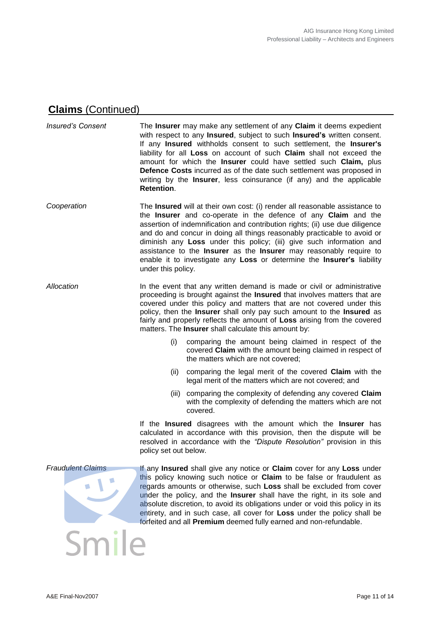### **Claims** (Continued)

*Insured's Consent* The **Insurer** may make any settlement of any **Claim** it deems expedient with respect to any **Insured**, subject to such **Insured's** written consent. If any **Insured** withholds consent to such settlement, the **Insurer's**  liability for all **Loss** on account of such **Claim** shall not exceed the amount for which the **Insurer** could have settled such **Claim,** plus **Defence Costs** incurred as of the date such settlement was proposed in writing by the **Insurer**, less coinsurance (if any) and the applicable **Retention**.

- *Cooperation* The **Insured** will at their own cost: (i) render all reasonable assistance to the **Insurer** and co-operate in the defence of any **Claim** and the assertion of indemnification and contribution rights; (ii) use due diligence and do and concur in doing all things reasonably practicable to avoid or diminish any **Loss** under this policy; (iii) give such information and assistance to the **Insurer** as the **Insurer** may reasonably require to enable it to investigate any **Loss** or determine the **Insurer's** liability under this policy.
- *Allocation* In the event that any written demand is made or civil or administrative proceeding is brought against the **Insured** that involves matters that are covered under this policy and matters that are not covered under this policy, then the **Insurer** shall only pay such amount to the **Insured** as fairly and properly reflects the amount of **Loss** arising from the covered matters. The **Insurer** shall calculate this amount by:
	- (i) comparing the amount being claimed in respect of the covered **Claim** with the amount being claimed in respect of the matters which are not covered;
	- (ii) comparing the legal merit of the covered **Claim** with the legal merit of the matters which are not covered; and
	- (iii) comparing the complexity of defending any covered **Claim** with the complexity of defending the matters which are not covered.

If the **Insured** disagrees with the amount which the **Insurer** has calculated in accordance with this provision, then the dispute will be resolved in accordance with the *"Dispute Resolution"* provision in this policy set out below.

Smile

**Fraudulent Claims If any <b>Insured** shall give any notice or **Claim** cover for any Loss under this policy knowing such notice or **Claim** to be false or fraudulent as regards amounts or otherwise, such **Loss** shall be excluded from cover under the policy, and the **Insurer** shall have the right, in its sole and absolute discretion, to avoid its obligations under or void this policy in its entirety, and in such case, all cover for **Loss** under the policy shall be forfeited and all **Premium** deemed fully earned and non-refundable.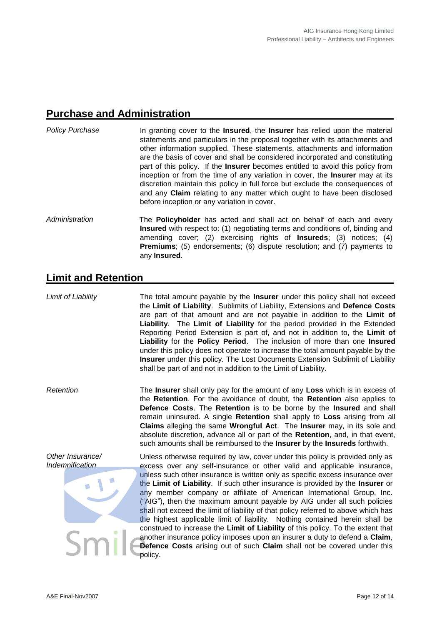#### **Purchase and Administration**

- *Policy Purchase* In granting cover to the **Insured**, the **Insurer** has relied upon the material statements and particulars in the proposal together with its attachments and other information supplied. These statements, attachments and information are the basis of cover and shall be considered incorporated and constituting part of this policy. If the **Insurer** becomes entitled to avoid this policy from inception or from the time of any variation in cover, the **Insurer** may at its discretion maintain this policy in full force but exclude the consequences of and any **Claim** relating to any matter which ought to have been disclosed before inception or any variation in cover.
- Administration The **Policyholder** has acted and shall act on behalf of each and every **Insured** with respect to: (1) negotiating terms and conditions of, binding and amending cover; (2) exercising rights of **Insureds**; (3) notices; (4) **Premiums**; (5) endorsements; (6) dispute resolution; and (7) payments to any **Insured**.

### **Limit and Retention**

*Limit of Liability* The total amount payable by the **Insurer** under this policy shall not exceed the **Limit of Liability**. Sublimits of Liability, Extensions and **Defence Costs** are part of that amount and are not payable in addition to the **Limit of Liability**. The **Limit of Liability** for the period provided in the Extended Reporting Period Extension is part of, and not in addition to, the **Limit of Liability** for the **Policy Period**. The inclusion of more than one **Insured** under this policy does not operate to increase the total amount payable by the **Insurer** under this policy. The Lost Documents Extension Sublimit of Liability shall be part of and not in addition to the Limit of Liability.

*Retention* The **Insurer** shall only pay for the amount of any **Loss** which is in excess of the **Retention**. For the avoidance of doubt, the **Retention** also applies to **Defence Costs**. The **Retention** is to be borne by the **Insured** and shall remain uninsured. A single **Retention** shall apply to **Loss** arising from all **Claims** alleging the same **Wrongful Act**. The **Insurer** may, in its sole and absolute discretion, advance all or part of the **Retention**, and, in that event, such amounts shall be reimbursed to the **Insurer** by the **Insureds** forthwith.

*Other Insurance/ Indemnification*

Unless otherwise required by law, cover under this policy is provided only as excess over any self-insurance or other valid and applicable insurance, unless such other insurance is written only as specific excess insurance over the **Limit of Liability**. If such other insurance is provided by the **Insurer** or any member company or affiliate of American International Group, Inc. ("AIG"), then the maximum amount payable by AIG under all such policies shall not exceed the limit of liability of that policy referred to above which has the highest applicable limit of liability. Nothing contained herein shall be construed to increase the **Limit of Liability** of this policy. To the extent that another insurance policy imposes upon an insurer a duty to defend a **Claim**, **Defence Costs** arising out of such **Claim** shall not be covered under this policy.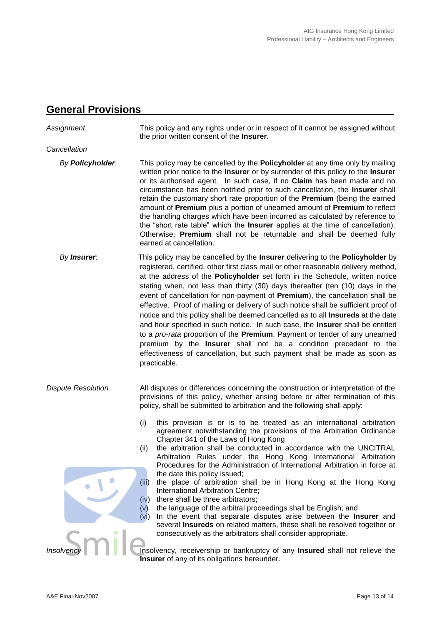#### **General Provisions**

*Assignment* This policy and any rights under or in respect of it cannot be assigned without the prior written consent of the **Insurer**. *Cancellation By Policyholder*: This policy may be cancelled by the **Policyholder** at any time only by mailing written prior notice to the **Insurer** or by surrender of this policy to the **Insurer** or its authorised agent. In such case, if no **Claim** has been made and no circumstance has been notified prior to such cancellation, the **Insurer** shall retain the customary short rate proportion of the **Premium** (being the earned amount of **Premium** plus a portion of unearned amount of **Premium** to reflect the handling charges which have been incurred as calculated by reference to the "short rate table" which the **Insurer** applies at the time of cancellation). Otherwise, **Premium** shall not be returnable and shall be deemed fully earned at cancellation. *By Insurer*: This policy may be cancelled by the **Insurer** delivering to the **Policyholder** by registered, certified, other first class mail or other reasonable delivery method, at the address of the **Policyholder** set forth in the Schedule, written notice stating when, not less than thirty (30) days thereafter (ten (10) days in the event of cancellation for non-payment of **Premium**), the cancellation shall be effective. Proof of mailing or delivery of such notice shall be sufficient proof of notice and this policy shall be deemed cancelled as to all **Insureds** at the date and hour specified in such notice. In such case, the **Insurer** shall be entitled to a *pro-rata* proportion of the **Premium**. Payment or tender of any unearned premium by the **Insurer** shall not be a condition precedent to the effectiveness of cancellation, but such payment shall be made as soon as practicable. *Dispute Resolution* All disputes or differences concerning the construction or interpretation of the provisions of this policy, whether arising before or after termination of this policy, shall be submitted to arbitration and the following shall apply: (i) this provision is or is to be treated as an international arbitration agreement notwithstanding the provisions of the Arbitration Ordinance Chapter 341 of the Laws of Hong Kong (ii) the arbitration shall be conducted in accordance with the UNCITRAL Arbitration Rules under the Hong Kong International Arbitration Procedures for the Administration of International Arbitration in force at the date this policy issued; (iii) the place of arbitration shall be in Hong Kong at the Hong Kong International Arbitration Centre; (iv) there shall be three arbitrators; (v) the language of the arbitral proceedings shall be English; and (vi) In the event that separate disputes arise between the **Insurer** and several **Insureds** on related matters, these shall be resolved together or consecutively as the arbitrators shall consider appropriate. **Insolvency, receivership or bankruptcy of any Insured** shall not relieve the **Insurer** of any of its obligations hereunder.